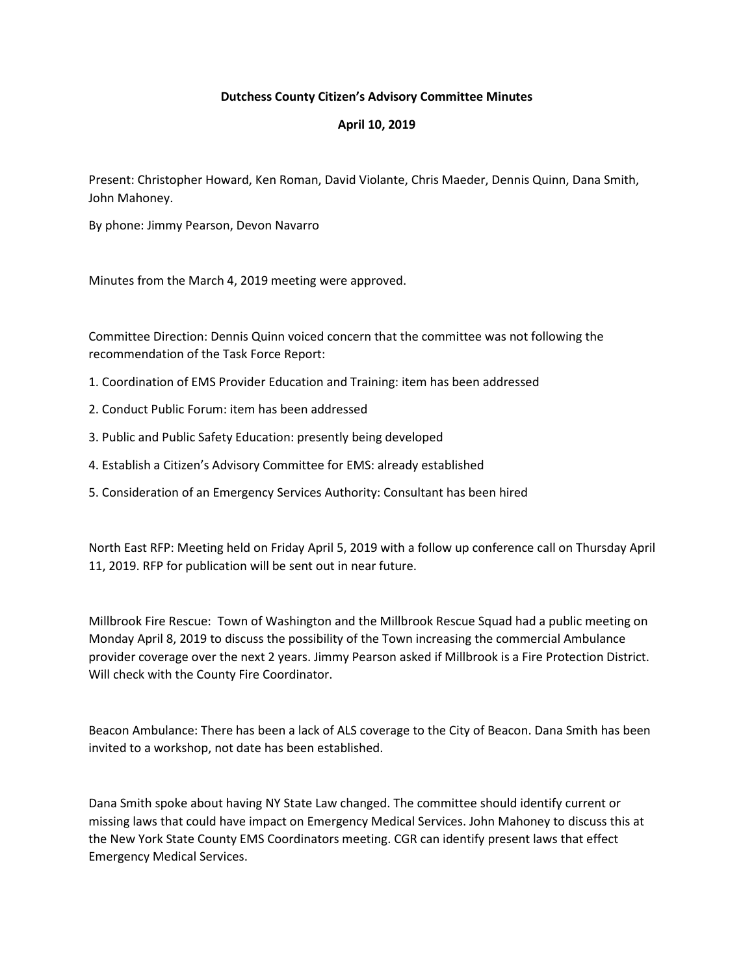## **Dutchess County Citizen's Advisory Committee Minutes**

## **April 10, 2019**

Present: Christopher Howard, Ken Roman, David Violante, Chris Maeder, Dennis Quinn, Dana Smith, John Mahoney.

By phone: Jimmy Pearson, Devon Navarro

Minutes from the March 4, 2019 meeting were approved.

Committee Direction: Dennis Quinn voiced concern that the committee was not following the recommendation of the Task Force Report:

- 1. Coordination of EMS Provider Education and Training: item has been addressed
- 2. Conduct Public Forum: item has been addressed
- 3. Public and Public Safety Education: presently being developed
- 4. Establish a Citizen's Advisory Committee for EMS: already established
- 5. Consideration of an Emergency Services Authority: Consultant has been hired

North East RFP: Meeting held on Friday April 5, 2019 with a follow up conference call on Thursday April 11, 2019. RFP for publication will be sent out in near future.

Millbrook Fire Rescue: Town of Washington and the Millbrook Rescue Squad had a public meeting on Monday April 8, 2019 to discuss the possibility of the Town increasing the commercial Ambulance provider coverage over the next 2 years. Jimmy Pearson asked if Millbrook is a Fire Protection District. Will check with the County Fire Coordinator.

Beacon Ambulance: There has been a lack of ALS coverage to the City of Beacon. Dana Smith has been invited to a workshop, not date has been established.

Dana Smith spoke about having NY State Law changed. The committee should identify current or missing laws that could have impact on Emergency Medical Services. John Mahoney to discuss this at the New York State County EMS Coordinators meeting. CGR can identify present laws that effect Emergency Medical Services.